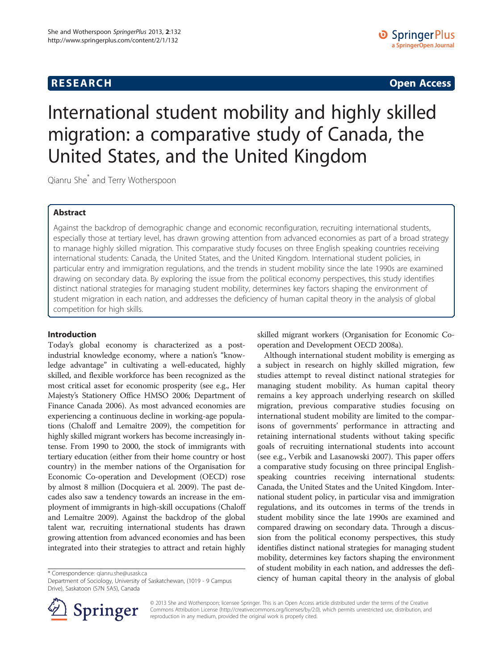# **RESEARCH CHINESE ARCH CHINESE ARCH CHINESE ARCH <b>CHINESE ARCH**

# International student mobility and highly skilled migration: a comparative study of Canada, the United States, and the United Kingdom

Qianru She\* and Terry Wotherspoon

# Abstract

Against the backdrop of demographic change and economic reconfiguration, recruiting international students, especially those at tertiary level, has drawn growing attention from advanced economies as part of a broad strategy to manage highly skilled migration. This comparative study focuses on three English speaking countries receiving international students: Canada, the United States, and the United Kingdom. International student policies, in particular entry and immigration regulations, and the trends in student mobility since the late 1990s are examined drawing on secondary data. By exploring the issue from the political economy perspectives, this study identifies distinct national strategies for managing student mobility, determines key factors shaping the environment of student migration in each nation, and addresses the deficiency of human capital theory in the analysis of global competition for high skills.

# Introduction

Today's global economy is characterized as a postindustrial knowledge economy, where a nation's "knowledge advantage" in cultivating a well-educated, highly skilled, and flexible workforce has been recognized as the most critical asset for economic prosperity (see e.g., Her Majesty's Stationery Office HMSO [2006](#page-12-0); Department of Finance Canada [2006](#page-11-0)). As most advanced economies are experiencing a continuous decline in working-age populations (Chaloff and Lemaître [2009\)](#page-11-0), the competition for highly skilled migrant workers has become increasingly intense. From 1990 to 2000, the stock of immigrants with tertiary education (either from their home country or host country) in the member nations of the Organisation for Economic Co-operation and Development (OECD) rose by almost 8 million (Docquiera et al. [2009\)](#page-12-0). The past decades also saw a tendency towards an increase in the employment of immigrants in high-skill occupations (Chaloff and Lemaître [2009\)](#page-11-0). Against the backdrop of the global talent war, recruiting international students has drawn growing attention from advanced economies and has been integrated into their strategies to attract and retain highly

Department of Sociology, University of Saskatchewan, (1019 - 9 Campus Drive), Saskatoon (S7N 5A5), Canada



Although international student mobility is emerging as a subject in research on highly skilled migration, few studies attempt to reveal distinct national strategies for managing student mobility. As human capital theory remains a key approach underlying research on skilled migration, previous comparative studies focusing on international student mobility are limited to the comparisons of governments' performance in attracting and retaining international students without taking specific goals of recruiting international students into account (see e.g., Verbik and Lasanowski [2007](#page-13-0)). This paper offers a comparative study focusing on three principal Englishspeaking countries receiving international students: Canada, the United States and the United Kingdom. International student policy, in particular visa and immigration regulations, and its outcomes in terms of the trends in student mobility since the late 1990s are examined and compared drawing on secondary data. Through a discussion from the political economy perspectives, this study identifies distinct national strategies for managing student mobility, determines key factors shaping the environment of student mobility in each nation, and addresses the deficiency of human capital theory in the analysis of global \* Correspondence: [qianru.she@usask.ca](mailto:qianru.she@usask.ca)



© 2013 She and Wotherspoon; licensee Springer. This is an Open Access article distributed under the terms of the Creative Commons Attribution License (<http://creativecommons.org/licenses/by/2.0>), which permits unrestricted use, distribution, and reproduction in any medium, provided the original work is properly cited.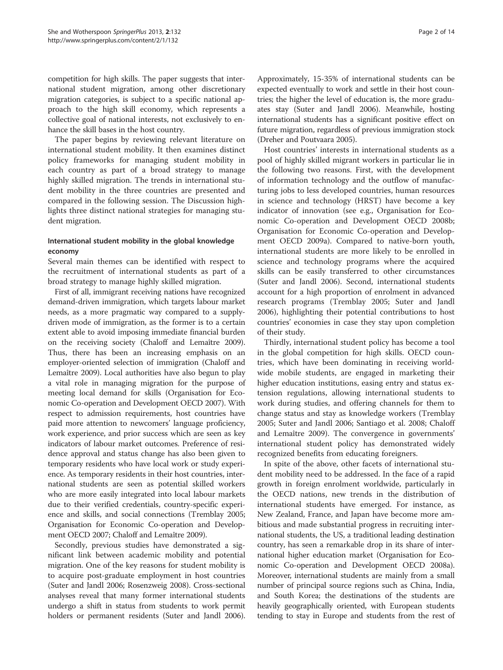competition for high skills. The paper suggests that international student migration, among other discretionary migration categories, is subject to a specific national approach to the high skill economy, which represents a collective goal of national interests, not exclusively to enhance the skill bases in the host country.

The paper begins by reviewing relevant literature on international student mobility. It then examines distinct policy frameworks for managing student mobility in each country as part of a broad strategy to manage highly skilled migration. The trends in international student mobility in the three countries are presented and compared in the following session. The Discussion highlights three distinct national strategies for managing student migration.

# International student mobility in the global knowledge economy

Several main themes can be identified with respect to the recruitment of international students as part of a broad strategy to manage highly skilled migration.

First of all, immigrant receiving nations have recognized demand-driven immigration, which targets labour market needs, as a more pragmatic way compared to a supplydriven mode of immigration, as the former is to a certain extent able to avoid imposing immediate financial burden on the receiving society (Chaloff and Lemaître [2009](#page-11-0)). Thus, there has been an increasing emphasis on an employer-oriented selection of immigration (Chaloff and Lemaître [2009\)](#page-11-0). Local authorities have also begun to play a vital role in managing migration for the purpose of meeting local demand for skills (Organisation for Economic Co-operation and Development OECD [2007](#page-12-0)). With respect to admission requirements, host countries have paid more attention to newcomers' language proficiency, work experience, and prior success which are seen as key indicators of labour market outcomes. Preference of residence approval and status change has also been given to temporary residents who have local work or study experience. As temporary residents in their host countries, international students are seen as potential skilled workers who are more easily integrated into local labour markets due to their verified credentials, country-specific experience and skills, and social connections (Tremblay [2005](#page-12-0); Organisation for Economic Co-operation and Development OECD [2007;](#page-12-0) Chaloff and Lemaître [2009](#page-11-0)).

Secondly, previous studies have demonstrated a significant link between academic mobility and potential migration. One of the key reasons for student mobility is to acquire post-graduate employment in host countries (Suter and Jandl [2006;](#page-12-0) Rosenzweig [2008\)](#page-12-0). Cross-sectional analyses reveal that many former international students undergo a shift in status from students to work permit holders or permanent residents (Suter and Jandl [2006](#page-12-0)). Approximately, 15-35% of international students can be expected eventually to work and settle in their host countries; the higher the level of education is, the more graduates stay (Suter and Jandl [2006](#page-12-0)). Meanwhile, hosting international students has a significant positive effect on future migration, regardless of previous immigration stock (Dreher and Poutvaara [2005\)](#page-12-0).

Host countries' interests in international students as a pool of highly skilled migrant workers in particular lie in the following two reasons. First, with the development of information technology and the outflow of manufacturing jobs to less developed countries, human resources in science and technology (HRST) have become a key indicator of innovation (see e.g., Organisation for Economic Co-operation and Development OECD [2008b](#page-12-0); Organisation for Economic Co-operation and Development OECD [2009a\)](#page-12-0). Compared to native-born youth, international students are more likely to be enrolled in science and technology programs where the acquired skills can be easily transferred to other circumstances (Suter and Jandl [2006\)](#page-12-0). Second, international students account for a high proportion of enrolment in advanced research programs (Tremblay [2005](#page-12-0); Suter and Jandl [2006](#page-12-0)), highlighting their potential contributions to host countries' economies in case they stay upon completion of their study.

Thirdly, international student policy has become a tool in the global competition for high skills. OECD countries, which have been dominating in receiving worldwide mobile students, are engaged in marketing their higher education institutions, easing entry and status extension regulations, allowing international students to work during studies, and offering channels for them to change status and stay as knowledge workers (Tremblay [2005](#page-12-0); Suter and Jandl [2006;](#page-12-0) Santiago et al. [2008](#page-12-0); Chaloff and Lemaître [2009\)](#page-11-0). The convergence in governments' international student policy has demonstrated widely recognized benefits from educating foreigners.

In spite of the above, other facets of international student mobility need to be addressed. In the face of a rapid growth in foreign enrolment worldwide, particularly in the OECD nations, new trends in the distribution of international students have emerged. For instance, as New Zealand, France, and Japan have become more ambitious and made substantial progress in recruiting international students, the US, a traditional leading destination country, has seen a remarkable drop in its share of international higher education market (Organisation for Economic Co-operation and Development OECD [2008a](#page-12-0)). Moreover, international students are mainly from a small number of principal source regions such as China, India, and South Korea; the destinations of the students are heavily geographically oriented, with European students tending to stay in Europe and students from the rest of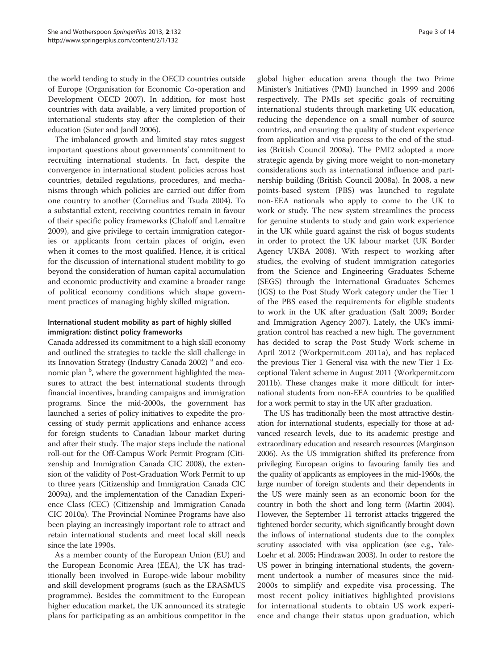the world tending to study in the OECD countries outside of Europe (Organisation for Economic Co-operation and Development OECD [2007\)](#page-12-0). In addition, for most host countries with data available, a very limited proportion of international students stay after the completion of their education (Suter and Jandl [2006\)](#page-12-0).

The imbalanced growth and limited stay rates suggest important questions about governments' commitment to recruiting international students. In fact, despite the convergence in international student policies across host countries, detailed regulations, procedures, and mechanisms through which policies are carried out differ from one country to another (Cornelius and Tsuda [2004\)](#page-11-0). To a substantial extent, receiving countries remain in favour of their specific policy frameworks (Chaloff and Lemaître [2009](#page-11-0)), and give privilege to certain immigration categories or applicants from certain places of origin, even when it comes to the most qualified. Hence, it is critical for the discussion of international student mobility to go beyond the consideration of human capital accumulation and economic productivity and examine a broader range of political economy conditions which shape government practices of managing highly skilled migration.

# International student mobility as part of highly skilled immigration: distinct policy frameworks

Canada addressed its commitment to a high skill economy and outlined the strategies to tackle the skill challenge in its Innovation Strategy (Industry Canada [2002\)](#page-12-0)<sup>a</sup> and economic plan <sup>b</sup>, where the government highlighted the measures to attract the best international students through financial incentives, branding campaigns and immigration programs. Since the mid-2000s, the government has launched a series of policy initiatives to expedite the processing of study permit applications and enhance access for foreign students to Canadian labour market during and after their study. The major steps include the national roll-out for the Off-Campus Work Permit Program (Citizenship and Immigration Canada CIC [2008\)](#page-11-0), the extension of the validity of Post-Graduation Work Permit to up to three years (Citizenship and Immigration Canada CIC [2009a](#page-11-0)), and the implementation of the Canadian Experience Class (CEC) (Citizenship and Immigration Canada CIC [2010a](#page-11-0)). The Provincial Nominee Programs have also been playing an increasingly important role to attract and retain international students and meet local skill needs since the late 1990s.

As a member county of the European Union (EU) and the European Economic Area (EEA), the UK has traditionally been involved in Europe-wide labour mobility and skill development programs (such as the ERASMUS programme). Besides the commitment to the European higher education market, the UK announced its strategic plans for participating as an ambitious competitor in the

global higher education arena though the two Prime Minister's Initiatives (PMI) launched in 1999 and 2006 respectively. The PMIs set specific goals of recruiting international students through marketing UK education, reducing the dependence on a small number of source countries, and ensuring the quality of student experience from application and visa process to the end of the studies (British Council [2008a](#page-11-0)). The PMI2 adopted a more strategic agenda by giving more weight to non-monetary considerations such as international influence and partnership building (British Council [2008a](#page-11-0)). In 2008, a new points-based system (PBS) was launched to regulate non-EEA nationals who apply to come to the UK to work or study. The new system streamlines the process for genuine students to study and gain work experience in the UK while guard against the risk of bogus students in order to protect the UK labour market (UK Border Agency UKBA [2008](#page-12-0)). With respect to working after studies, the evolving of student immigration categories from the Science and Engineering Graduates Scheme (SEGS) through the International Graduates Schemes (IGS) to the Post Study Work category under the Tier 1 of the PBS eased the requirements for eligible students to work in the UK after graduation (Salt [2009](#page-12-0); Border and Immigration Agency [2007](#page-11-0)). Lately, the UK's immigration control has reached a new high. The government has decided to scrap the Post Study Work scheme in April 2012 (Workpermit.com [2011a\)](#page-13-0), and has replaced the previous Tier 1 General visa with the new Tier 1 Exceptional Talent scheme in August 2011 (Workpermit.com [2011b\)](#page-13-0). These changes make it more difficult for international students from non-EEA countries to be qualified for a work permit to stay in the UK after graduation.

The US has traditionally been the most attractive destination for international students, especially for those at advanced research levels, due to its academic prestige and extraordinary education and research resources (Marginson [2006\)](#page-12-0). As the US immigration shifted its preference from privileging European origins to favouring family ties and the quality of applicants as employees in the mid-1960s, the large number of foreign students and their dependents in the US were mainly seen as an economic boon for the country in both the short and long term (Martin [2004](#page-12-0)). However, the September 11 terrorist attacks triggered the tightened border security, which significantly brought down the inflows of international students due to the complex scrutiny associated with visa application (see e.g., Yale-Loehr et al. [2005](#page-13-0); Hindrawan [2003](#page-12-0)). In order to restore the US power in bringing international students, the government undertook a number of measures since the mid-2000s to simplify and expedite visa processing. The most recent policy initiatives highlighted provisions for international students to obtain US work experience and change their status upon graduation, which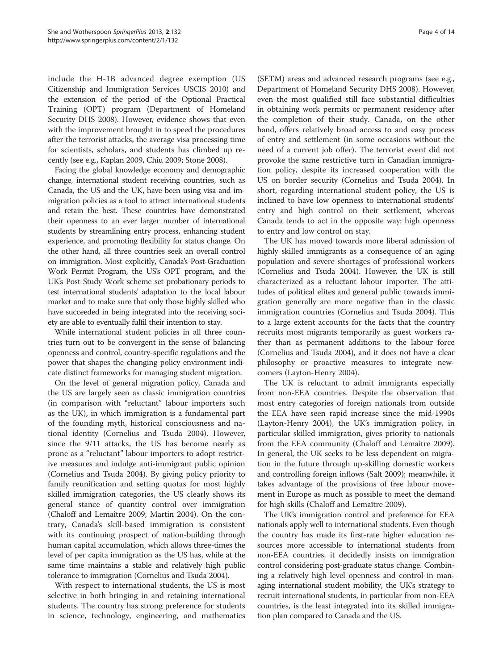include the H-1B advanced degree exemption (US Citizenship and Immigration Services USCIS [2010\)](#page-12-0) and the extension of the period of the Optional Practical Training (OPT) program (Department of Homeland Security DHS [2008](#page-11-0)). However, evidence shows that even with the improvement brought in to speed the procedures after the terrorist attacks, the average visa processing time for scientists, scholars, and students has climbed up recently (see e.g., Kaplan [2009,](#page-12-0) Chiu [2009;](#page-11-0) Stone [2008](#page-12-0)).

Facing the global knowledge economy and demographic change, international student receiving countries, such as Canada, the US and the UK, have been using visa and immigration policies as a tool to attract international students and retain the best. These countries have demonstrated their openness to an ever larger number of international students by streamlining entry process, enhancing student experience, and promoting flexibility for status change. On the other hand, all three countries seek an overall control on immigration. Most explicitly, Canada's Post-Graduation Work Permit Program, the US's OPT program, and the UK's Post Study Work scheme set probationary periods to test international students' adaptation to the local labour market and to make sure that only those highly skilled who have succeeded in being integrated into the receiving society are able to eventually fulfil their intention to stay.

While international student policies in all three countries turn out to be convergent in the sense of balancing openness and control, country-specific regulations and the power that shapes the changing policy environment indicate distinct frameworks for managing student migration.

On the level of general migration policy, Canada and the US are largely seen as classic immigration countries (in comparison with "reluctant" labour importers such as the UK), in which immigration is a fundamental part of the founding myth, historical consciousness and national identity (Cornelius and Tsuda [2004](#page-11-0)). However, since the 9/11 attacks, the US has become nearly as prone as a "reluctant" labour importers to adopt restrictive measures and indulge anti-immigrant public opinion (Cornelius and Tsuda [2004](#page-11-0)). By giving policy priority to family reunification and setting quotas for most highly skilled immigration categories, the US clearly shows its general stance of quantity control over immigration (Chaloff and Lemaître [2009;](#page-11-0) Martin [2004](#page-12-0)). On the contrary, Canada's skill-based immigration is consistent with its continuing prospect of nation-building through human capital accumulation, which allows three-times the level of per capita immigration as the US has, while at the same time maintains a stable and relatively high public tolerance to immigration (Cornelius and Tsuda [2004\)](#page-11-0).

With respect to international students, the US is most selective in both bringing in and retaining international students. The country has strong preference for students in science, technology, engineering, and mathematics

(SETM) areas and advanced research programs (see e.g., Department of Homeland Security DHS [2008](#page-11-0)). However, even the most qualified still face substantial difficulties in obtaining work permits or permanent residency after the completion of their study. Canada, on the other hand, offers relatively broad access to and easy process of entry and settlement (in some occasions without the need of a current job offer). The terrorist event did not provoke the same restrictive turn in Canadian immigration policy, despite its increased cooperation with the US on border security (Cornelius and Tsuda [2004\)](#page-11-0). In short, regarding international student policy, the US is inclined to have low openness to international students' entry and high control on their settlement, whereas Canada tends to act in the opposite way: high openness to entry and low control on stay.

The UK has moved towards more liberal admission of highly skilled immigrants as a consequence of an aging population and severe shortages of professional workers (Cornelius and Tsuda [2004\)](#page-11-0). However, the UK is still characterized as a reluctant labour importer. The attitudes of political elites and general public towards immigration generally are more negative than in the classic immigration countries (Cornelius and Tsuda [2004\)](#page-11-0). This to a large extent accounts for the facts that the country recruits most migrants temporarily as guest workers rather than as permanent additions to the labour force (Cornelius and Tsuda [2004\)](#page-11-0), and it does not have a clear philosophy or proactive measures to integrate newcomers (Layton-Henry [2004](#page-12-0)).

The UK is reluctant to admit immigrants especially from non-EEA countries. Despite the observation that most entry categories of foreign nationals from outside the EEA have seen rapid increase since the mid-1990s (Layton-Henry [2004](#page-12-0)), the UK's immigration policy, in particular skilled immigration, gives priority to nationals from the EEA community (Chaloff and Lemaître [2009](#page-11-0)). In general, the UK seeks to be less dependent on migration in the future through up-skilling domestic workers and controlling foreign inflows (Salt [2009](#page-12-0)); meanwhile, it takes advantage of the provisions of free labour movement in Europe as much as possible to meet the demand for high skills (Chaloff and Lemaître [2009\)](#page-11-0).

The UK's immigration control and preference for EEA nationals apply well to international students. Even though the country has made its first-rate higher education resources more accessible to international students from non-EEA countries, it decidedly insists on immigration control considering post-graduate status change. Combining a relatively high level openness and control in managing international student mobility, the UK's strategy to recruit international students, in particular from non-EEA countries, is the least integrated into its skilled immigration plan compared to Canada and the US.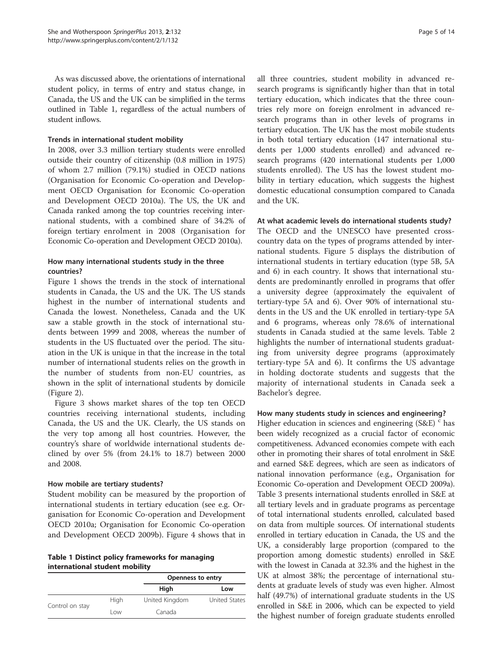As was discussed above, the orientations of international student policy, in terms of entry and status change, in Canada, the US and the UK can be simplified in the terms outlined in Table 1, regardless of the actual numbers of student inflows.

## Trends in international student mobility

In 2008, over 3.3 million tertiary students were enrolled outside their country of citizenship (0.8 million in 1975) of whom 2.7 million (79.1%) studied in OECD nations (Organisation for Economic Co-operation and Development OECD Organisation for Economic Co-operation and Development OECD [2010a\)](#page-12-0). The US, the UK and Canada ranked among the top countries receiving international students, with a combined share of 34.2% of foreign tertiary enrolment in 2008 (Organisation for Economic Co-operation and Development OECD [2010a\)](#page-12-0).

# How many international students study in the three countries?

Figure [1](#page-5-0) shows the trends in the stock of international students in Canada, the US and the UK. The US stands highest in the number of international students and Canada the lowest. Nonetheless, Canada and the UK saw a stable growth in the stock of international students between 1999 and 2008, whereas the number of students in the US fluctuated over the period. The situation in the UK is unique in that the increase in the total number of international students relies on the growth in the number of students from non-EU countries, as shown in the split of international students by domicile (Figure [2](#page-5-0)).

Figure [3](#page-6-0) shows market shares of the top ten OECD countries receiving international students, including Canada, the US and the UK. Clearly, the US stands on the very top among all host countries. However, the country's share of worldwide international students declined by over 5% (from 24.1% to 18.7) between 2000 and 2008.

#### How mobile are tertiary students?

Student mobility can be measured by the proportion of international students in tertiary education (see e.g. Organisation for Economic Co-operation and Development OECD [2010a;](#page-12-0) Organisation for Economic Co-operation and Development OECD [2009b](#page-12-0)). Figure [4](#page-6-0) shows that in

Table 1 Distinct policy frameworks for managing international student mobility

|                 |      | <b>Openness to entry</b> |                      |  |
|-----------------|------|--------------------------|----------------------|--|
|                 |      | High                     | Low                  |  |
|                 | High | United Kingdom           | <b>United States</b> |  |
| Control on stay | l ow | Canada                   |                      |  |

all three countries, student mobility in advanced research programs is significantly higher than that in total tertiary education, which indicates that the three countries rely more on foreign enrolment in advanced research programs than in other levels of programs in tertiary education. The UK has the most mobile students in both total tertiary education (147 international students per 1,000 students enrolled) and advanced research programs (420 international students per 1,000 students enrolled). The US has the lowest student mobility in tertiary education, which suggests the highest domestic educational consumption compared to Canada and the UK.

## At what academic levels do international students study?

The OECD and the UNESCO have presented crosscountry data on the types of programs attended by international students. Figure [5](#page-7-0) displays the distribution of international students in tertiary education (type 5B, 5A and 6) in each country. It shows that international students are predominantly enrolled in programs that offer a university degree (approximately the equivalent of tertiary-type 5A and 6). Over 90% of international students in the US and the UK enrolled in tertiary-type 5A and 6 programs, whereas only 78.6% of international students in Canada studied at the same levels. Table [2](#page-7-0) highlights the number of international students graduating from university degree programs (approximately tertiary-type 5A and 6). It confirms the US advantage in holding doctorate students and suggests that the majority of international students in Canada seek a Bachelor's degree.

#### How many students study in sciences and engineering?

Higher education in sciences and engineering  $(S\&E)$ <sup>c</sup> has been widely recognized as a crucial factor of economic competitiveness. Advanced economies compete with each other in promoting their shares of total enrolment in S&E and earned S&E degrees, which are seen as indicators of national innovation performance (e.g., Organisation for Economic Co-operation and Development OECD [2009a](#page-12-0)). Table [3](#page-8-0) presents international students enrolled in S&E at all tertiary levels and in graduate programs as percentage of total international students enrolled, calculated based on data from multiple sources. Of international students enrolled in tertiary education in Canada, the US and the UK, a considerably large proportion (compared to the proportion among domestic students) enrolled in S&E with the lowest in Canada at 32.3% and the highest in the UK at almost 38%; the percentage of international students at graduate levels of study was even higher. Almost half (49.7%) of international graduate students in the US enrolled in S&E in 2006, which can be expected to yield the highest number of foreign graduate students enrolled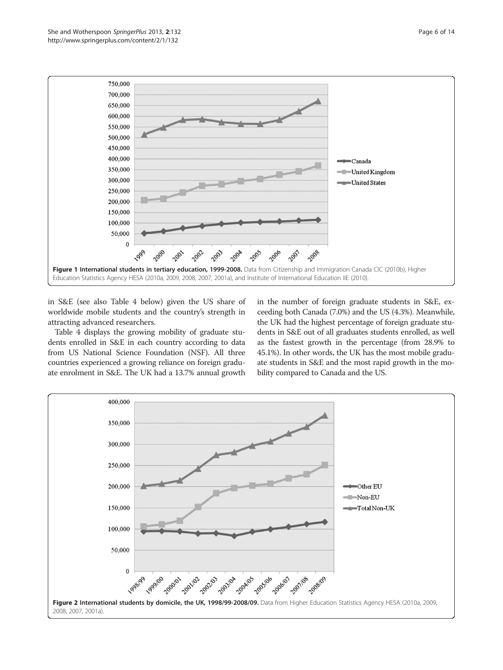

<span id="page-5-0"></span>

in S&E (see also Table [4](#page-8-0) below) given the US share of worldwide mobile students and the country's strength in attracting advanced researchers.

Table [4](#page-8-0) displays the growing mobility of graduate students enrolled in S&E in each country according to data from US National Science Foundation (NSF). All three countries experienced a growing reliance on foreign graduate enrolment in S&E. The UK had a 13.7% annual growth in the number of foreign graduate students in S&E, exceeding both Canada (7.0%) and the US (4.3%). Meanwhile, the UK had the highest percentage of foreign graduate students in S&E out of all graduates students enrolled, as well as the fastest growth in the percentage (from 28.9% to 45.1%). In other words, the UK has the most mobile graduate students in S&E and the most rapid growth in the mobility compared to Canada and the US.

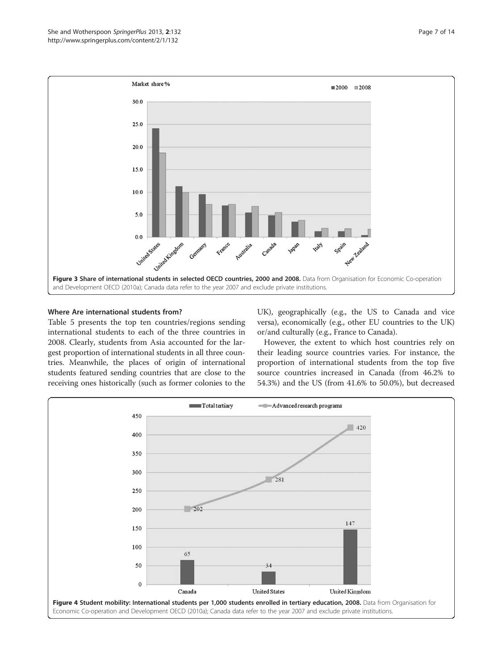<span id="page-6-0"></span>

# Where Are international students from?

Table [5](#page-9-0) presents the top ten countries/regions sending international students to each of the three countries in 2008. Clearly, students from Asia accounted for the largest proportion of international students in all three countries. Meanwhile, the places of origin of international students featured sending countries that are close to the receiving ones historically (such as former colonies to the UK), geographically (e.g., the US to Canada and vice versa), economically (e.g., other EU countries to the UK) or/and culturally (e.g., France to Canada).

However, the extent to which host countries rely on their leading source countries varies. For instance, the proportion of international students from the top five source countries increased in Canada (from 46.2% to 54.3%) and the US (from 41.6% to 50.0%), but decreased

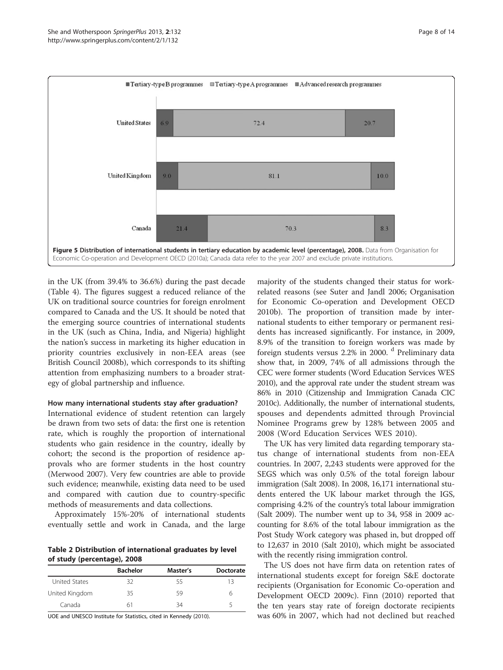<span id="page-7-0"></span>

in the UK (from 39.4% to 36.6%) during the past decade (Table [4\)](#page-8-0). The figures suggest a reduced reliance of the UK on traditional source countries for foreign enrolment compared to Canada and the US. It should be noted that the emerging source countries of international students in the UK (such as China, India, and Nigeria) highlight the nation's success in marketing its higher education in priority countries exclusively in non-EEA areas (see British Council [2008b\)](#page-11-0), which corresponds to its shifting attention from emphasizing numbers to a broader strategy of global partnership and influence.

#### How many international students stay after graduation?

International evidence of student retention can largely be drawn from two sets of data: the first one is retention rate, which is roughly the proportion of international students who gain residence in the country, ideally by cohort; the second is the proportion of residence approvals who are former students in the host country (Merwood [2007](#page-12-0)). Very few countries are able to provide such evidence; meanwhile, existing data need to be used and compared with caution due to country-specific methods of measurements and data collections.

Approximately 15%-20% of international students eventually settle and work in Canada, and the large

Table 2 Distribution of international graduates by level of study (percentage), 2008

|                | <b>Bachelor</b> | Master's | <b>Doctorate</b> |
|----------------|-----------------|----------|------------------|
| United States  | 32              | 55       | 13               |
| United Kingdom | 35              | 59       | n                |
| Canada         | 61              | 34       |                  |

UOE and UNESCO Institute for Statistics, cited in Kennedy [\(2010](#page-12-0)).

majority of the students changed their status for workrelated reasons (see Suter and Jandl [2006;](#page-12-0) Organisation for Economic Co-operation and Development OECD [2010b](#page-12-0)). The proportion of transition made by international students to either temporary or permanent residents has increased significantly. For instance, in 2009, 8.9% of the transition to foreign workers was made by foreign students versus 2.2% in 2000. <sup>d</sup> Preliminary data show that, in 2009, 74% of all admissions through the CEC were former students (Word Education Services WES [2010\)](#page-13-0), and the approval rate under the student stream was 86% in 2010 (Citizenship and Immigration Canada CIC [2010c\)](#page-11-0). Additionally, the number of international students, spouses and dependents admitted through Provincial Nominee Programs grew by 128% between 2005 and 2008 (Word Education Services WES [2010](#page-13-0)).

The UK has very limited data regarding temporary status change of international students from non-EEA countries. In 2007, 2,243 students were approved for the SEGS which was only 0.5% of the total foreign labour immigration (Salt [2008\)](#page-12-0). In 2008, 16,171 international students entered the UK labour market through the IGS, comprising 4.2% of the country's total labour immigration (Salt [2009\)](#page-12-0). The number went up to 34, 958 in 2009 accounting for 8.6% of the total labour immigration as the Post Study Work category was phased in, but dropped off to 12,637 in 2010 (Salt [2010\)](#page-12-0), which might be associated with the recently rising immigration control.

The US does not have firm data on retention rates of international students except for foreign S&E doctorate recipients (Organisation for Economic Co-operation and Development OECD [2009c\)](#page-12-0). Finn ([2010](#page-12-0)) reported that the ten years stay rate of foreign doctorate recipients was 60% in 2007, which had not declined but reached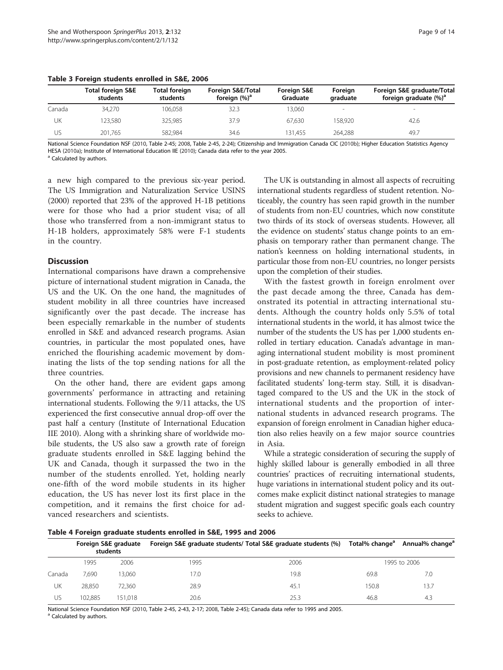|        | Total foreign S&E<br>students | <b>Total foreign</b><br>students | Foreign S&E/Total<br>foreign $(\%)^a$ | Foreign S&E<br>Graduate | Foreign<br>graduate | Foreign S&E graduate/Total<br>foreign graduate $(\%)^a$ |
|--------|-------------------------------|----------------------------------|---------------------------------------|-------------------------|---------------------|---------------------------------------------------------|
| Canada | 34,270                        | 106.058                          | 32.3                                  | 13.060                  | $\sim$              | $\sim$                                                  |
| UK     | 123.580                       | 325.985                          | 37.9                                  | 67.630                  | 158.920             | 42.6                                                    |
| JS     | 201.765                       | 582.984                          | 34.6                                  | 131.455                 | 264.288             | 49.7                                                    |

<span id="page-8-0"></span>Table 3 Foreign students enrolled in S&E, 2006

National Science Foundation NSF ([2010](#page-12-0), Table 2-45; [2008](#page-12-0), Table 2-45, 2-24); Citizenship and Immigration Canada CIC ([2010b\)](#page-11-0); Higher Education Statistics Agency HESA [\(2010a](#page-12-0)); Institute of International Education IIE ([2010](#page-12-0)); Canada data refer to the year 2005<br><sup>a</sup> Calculated by authors.

a new high compared to the previous six-year period. The US Immigration and Naturalization Service USINS ([2000](#page-13-0)) reported that 23% of the approved H-1B petitions were for those who had a prior student visa; of all those who transferred from a non-immigrant status to H-1B holders, approximately 58% were F-1 students in the country.

#### **Discussion**

International comparisons have drawn a comprehensive picture of international student migration in Canada, the US and the UK. On the one hand, the magnitudes of student mobility in all three countries have increased significantly over the past decade. The increase has been especially remarkable in the number of students enrolled in S&E and advanced research programs. Asian countries, in particular the most populated ones, have enriched the flourishing academic movement by dominating the lists of the top sending nations for all the three countries.

On the other hand, there are evident gaps among governments' performance in attracting and retaining international students. Following the 9/11 attacks, the US experienced the first consecutive annual drop-off over the past half a century (Institute of International Education IIE [2010\)](#page-12-0). Along with a shrinking share of worldwide mobile students, the US also saw a growth rate of foreign graduate students enrolled in S&E lagging behind the UK and Canada, though it surpassed the two in the number of the students enrolled. Yet, holding nearly one-fifth of the word mobile students in its higher education, the US has never lost its first place in the competition, and it remains the first choice for advanced researchers and scientists.

The UK is outstanding in almost all aspects of recruiting international students regardless of student retention. Noticeably, the country has seen rapid growth in the number of students from non-EU countries, which now constitute two thirds of its stock of overseas students. However, all the evidence on students' status change points to an emphasis on temporary rather than permanent change. The nation's keenness on holding international students, in particular those from non-EU countries, no longer persists upon the completion of their studies.

With the fastest growth in foreign enrolment over the past decade among the three, Canada has demonstrated its potential in attracting international students. Although the country holds only 5.5% of total international students in the world, it has almost twice the number of the students the US has per 1,000 students enrolled in tertiary education. Canada's advantage in managing international student mobility is most prominent in post-graduate retention, as employment-related policy provisions and new channels to permanent residency have facilitated students' long-term stay. Still, it is disadvantaged compared to the US and the UK in the stock of international students and the proportion of international students in advanced research programs. The expansion of foreign enrolment in Canadian higher education also relies heavily on a few major source countries in Asia.

While a strategic consideration of securing the supply of highly skilled labour is generally embodied in all three countries' practices of recruiting international students, huge variations in international student policy and its outcomes make explicit distinct national strategies to manage student migration and suggest specific goals each country seeks to achieve.

Table 4 Foreign graduate students enrolled in S&E, 1995 and 2006

|        | Foreign S&E graduate<br>students |         | Foreign S&E graduate students/ Total S&E graduate students (%) |      |       | Annual% change <sup>a</sup> |
|--------|----------------------------------|---------|----------------------------------------------------------------|------|-------|-----------------------------|
|        | 1995                             | 2006    | 1995                                                           | 2006 |       | 1995 to 2006                |
| Canada | 7.690                            | 13.060  | 7.0                                                            | 19.8 | 69.8  | 7.0                         |
| UK     | 28.850                           | 72.360  | 28.9                                                           | 45.1 | 150.8 | 13.7                        |
| US.    | 102.885                          | 151,018 | 20.6                                                           | 25.3 | 46.8  | 4.3                         |

National Science Foundation NSF ([2010](#page-12-0), Table 2-45, 2-43, 2-17; [2008,](#page-12-0) Table 2-45); Canada data refer to 1995 and 2005.<br><sup>a</sup> Calculated by authors.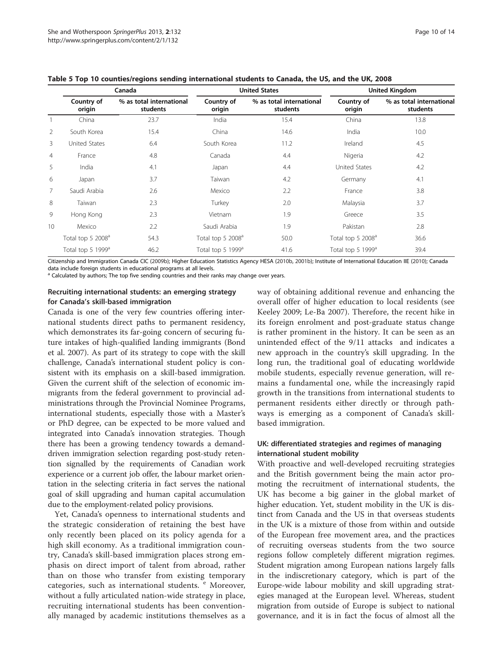|                | Canada                        |                                      |                               | <b>United States</b>                 | <b>United Kingdom</b>         |                                      |
|----------------|-------------------------------|--------------------------------------|-------------------------------|--------------------------------------|-------------------------------|--------------------------------------|
|                | Country of<br>origin          | % as total international<br>students | Country of<br>origin          | % as total international<br>students | Country of<br>origin          | % as total international<br>students |
| $\mathbf{1}$   | China                         | 23.7                                 | India                         | 15.4                                 | China                         | 13.8                                 |
| 2              | South Korea                   | 15.4                                 | China                         | 14.6                                 | India                         | 10.0                                 |
| 3              | United States                 | 6.4                                  | South Korea                   | 11.2                                 | Ireland                       | 4.5                                  |
| $\overline{4}$ | France                        | 4.8                                  | Canada                        | 4.4                                  | Nigeria                       | 4.2                                  |
| 5              | India                         | 4.1                                  | Japan                         | 4.4                                  | <b>United States</b>          | 4.2                                  |
| 6              | Japan                         | 3.7                                  | Taiwan                        | 4.2                                  | Germany                       | 4.1                                  |
| 7              | Saudi Arabia                  | 2.6                                  | Mexico                        | 2.2                                  | France                        | 3.8                                  |
| 8              | Taiwan                        | 2.3                                  | Turkey                        | 2.0                                  | Malaysia                      | 3.7                                  |
| 9              | Hong Kong                     | 2.3                                  | Vietnam                       | 1.9                                  | Greece                        | 3.5                                  |
| 10             | Mexico                        | 2.2                                  | Saudi Arabia                  | 1.9                                  | Pakistan                      | 2.8                                  |
|                | Total top 5 2008 <sup>a</sup> | 54.3                                 | Total top 5 2008 <sup>a</sup> | 50.0                                 | Total top 5 2008 <sup>a</sup> | 36.6                                 |
|                | Total top 5 1999 <sup>a</sup> | 46.2                                 | Total top 5 1999 <sup>a</sup> | 41.6                                 | Total top 5 1999 <sup>a</sup> | 39.4                                 |

<span id="page-9-0"></span>Table 5 Top 10 counties/regions sending international students to Canada, the US, and the UK, 2008

Citizenship and Immigration Canada CIC ([2009b](#page-11-0)); Higher Education Statistics Agency HESA [\(2010b](#page-12-0), [2001b\)](#page-12-0); Institute of International Education IIE ([2010](#page-12-0)); Canada data include foreign students in educational programs at all levels.

<sup>a</sup> Calculated by authors; The top five sending countries and their ranks may change over years.

# Recruiting international students: an emerging strategy for Canada's skill-based immigration

Canada is one of the very few countries offering international students direct paths to permanent residency, which demonstrates its far-going concern of securing future intakes of high-qualified landing immigrants (Bond et al. [2007\)](#page-11-0). As part of its strategy to cope with the skill challenge, Canada's international student policy is consistent with its emphasis on a skill-based immigration. Given the current shift of the selection of economic immigrants from the federal government to provincial administrations through the Provincial Nominee Programs, international students, especially those with a Master's or PhD degree, can be expected to be more valued and integrated into Canada's innovation strategies. Though there has been a growing tendency towards a demanddriven immigration selection regarding post-study retention signalled by the requirements of Canadian work experience or a current job offer, the labour market orientation in the selecting criteria in fact serves the national goal of skill upgrading and human capital accumulation due to the employment-related policy provisions.

Yet, Canada's openness to international students and the strategic consideration of retaining the best have only recently been placed on its policy agenda for a high skill economy. As a traditional immigration country, Canada's skill-based immigration places strong emphasis on direct import of talent from abroad, rather than on those who transfer from existing temporary categories, such as international students. <sup>e</sup> Moreover, without a fully articulated nation-wide strategy in place, recruiting international students has been conventionally managed by academic institutions themselves as a

way of obtaining additional revenue and enhancing the overall offer of higher education to local residents (see Keeley [2009](#page-12-0); Le-Ba [2007](#page-12-0)). Therefore, the recent hike in its foreign enrolment and post-graduate status change is rather prominent in the history. It can be seen as an unintended effect of the 9/11 attacks and indicates a new approach in the country's skill upgrading. In the long run, the traditional goal of educating worldwide mobile students, especially revenue generation, will remains a fundamental one, while the increasingly rapid growth in the transitions from international students to permanent residents either directly or through pathways is emerging as a component of Canada's skillbased immigration.

# UK: differentiated strategies and regimes of managing international student mobility

With proactive and well-developed recruiting strategies and the British government being the main actor promoting the recruitment of international students, the UK has become a big gainer in the global market of higher education. Yet, student mobility in the UK is distinct from Canada and the US in that overseas students in the UK is a mixture of those from within and outside of the European free movement area, and the practices of recruiting overseas students from the two source regions follow completely different migration regimes. Student migration among European nations largely falls in the indiscretionary category, which is part of the Europe-wide labour mobility and skill upgrading strategies managed at the European level. Whereas, student migration from outside of Europe is subject to national governance, and it is in fact the focus of almost all the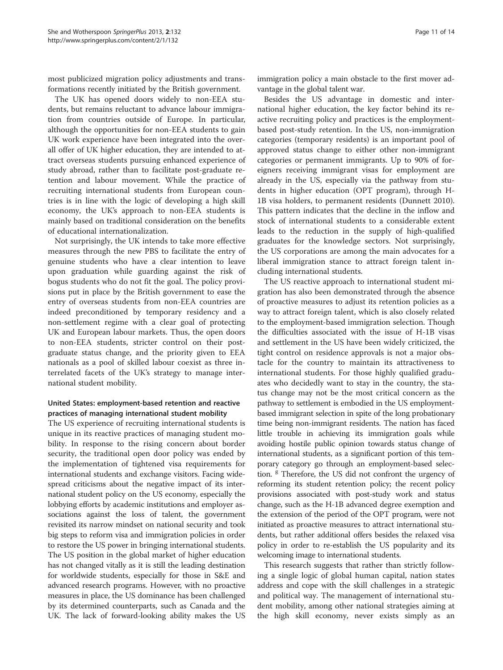most publicized migration policy adjustments and transformations recently initiated by the British government.

The UK has opened doors widely to non-EEA students, but remains reluctant to advance labour immigration from countries outside of Europe. In particular, although the opportunities for non-EEA students to gain UK work experience have been integrated into the overall offer of UK higher education, they are intended to attract overseas students pursuing enhanced experience of study abroad, rather than to facilitate post-graduate retention and labour movement. While the practice of recruiting international students from European countries is in line with the logic of developing a high skill economy, the UK's approach to non-EEA students is mainly based on traditional consideration on the benefits of educational internationalization.

Not surprisingly, the UK intends to take more effective measures through the new PBS to facilitate the entry of genuine students who have a clear intention to leave upon graduation while guarding against the risk of bogus students who do not fit the goal. The policy provisions put in place by the British government to ease the entry of overseas students from non-EEA countries are indeed preconditioned by temporary residency and a non-settlement regime with a clear goal of protecting UK and European labour markets. Thus, the open doors to non-EEA students, stricter control on their postgraduate status change, and the priority given to EEA nationals as a pool of skilled labour coexist as three interrelated facets of the UK's strategy to manage international student mobility.

# United States: employment-based retention and reactive practices of managing international student mobility

The US experience of recruiting international students is unique in its reactive practices of managing student mobility. In response to the rising concern about border security, the traditional open door policy was ended by the implementation of tightened visa requirements for international students and exchange visitors. Facing widespread criticisms about the negative impact of its international student policy on the US economy, especially the lobbying efforts by academic institutions and employer associations against the loss of talent, the government revisited its narrow mindset on national security and took big steps to reform visa and immigration policies in order to restore the US power in bringing international students. The US position in the global market of higher education has not changed vitally as it is still the leading destination for worldwide students, especially for those in S&E and advanced research programs. However, with no proactive measures in place, the US dominance has been challenged by its determined counterparts, such as Canada and the UK. The lack of forward-looking ability makes the US immigration policy a main obstacle to the first mover advantage in the global talent war.

Besides the US advantage in domestic and international higher education, the key factor behind its reactive recruiting policy and practices is the employmentbased post-study retention. In the US, non-immigration categories (temporary residents) is an important pool of approved status change to either other non-immigrant categories or permanent immigrants. Up to 90% of foreigners receiving immigrant visas for employment are already in the US, especially via the pathway from students in higher education (OPT program), through H-1B visa holders, to permanent residents (Dunnett [2010](#page-12-0)). This pattern indicates that the decline in the inflow and stock of international students to a considerable extent leads to the reduction in the supply of high-qualified graduates for the knowledge sectors. Not surprisingly, the US corporations are among the main advocates for a liberal immigration stance to attract foreign talent including international students.

The US reactive approach to international student migration has also been demonstrated through the absence of proactive measures to adjust its retention policies as a way to attract foreign talent, which is also closely related to the employment-based immigration selection. Though the difficulties associated with the issue of H-1B visas and settlement in the US have been widely criticized, the tight control on residence approvals is not a major obstacle for the country to maintain its attractiveness to international students. For those highly qualified graduates who decidedly want to stay in the country, the status change may not be the most critical concern as the pathway to settlement is embodied in the US employmentbased immigrant selection in spite of the long probationary time being non-immigrant residents. The nation has faced little trouble in achieving its immigration goals while avoiding hostile public opinion towards status change of international students, as a significant portion of this temporary category go through an employment-based selection. <sup>g</sup> Therefore, the US did not confront the urgency of reforming its student retention policy; the recent policy provisions associated with post-study work and status change, such as the H-1B advanced degree exemption and the extension of the period of the OPT program, were not initiated as proactive measures to attract international students, but rather additional offers besides the relaxed visa policy in order to re-establish the US popularity and its welcoming image to international students.

This research suggests that rather than strictly following a single logic of global human capital, nation states address and cope with the skill challenges in a strategic and political way. The management of international student mobility, among other national strategies aiming at the high skill economy, never exists simply as an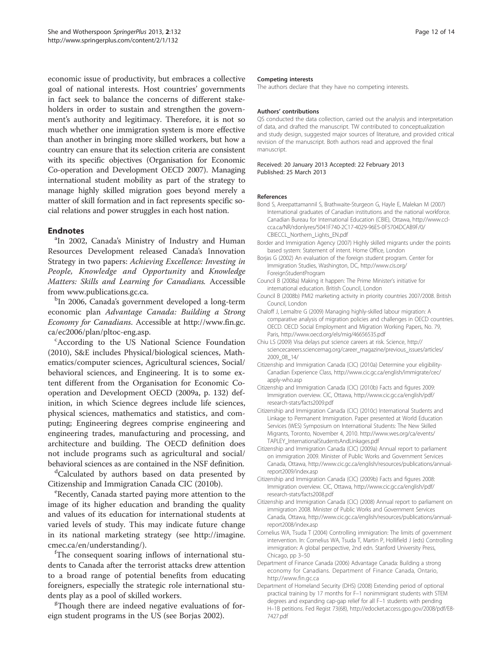<span id="page-11-0"></span>economic issue of productivity, but embraces a collective goal of national interests. Host countries' governments in fact seek to balance the concerns of different stakeholders in order to sustain and strengthen the government's authority and legitimacy. Therefore, it is not so much whether one immigration system is more effective than another in bringing more skilled workers, but how a country can ensure that its selection criteria are consistent with its specific objectives (Organisation for Economic Co-operation and Development OECD [2007](#page-12-0)). Managing international student mobility as part of the strategy to manage highly skilled migration goes beyond merely a matter of skill formation and in fact represents specific social relations and power struggles in each host nation.

# **Endnotes**

<sup>a</sup>In 2002, Canada's Ministry of Industry and Human Resources Development released Canada's Innovation Strategy in two papers: Achieving Excellence: Investing in People, Knowledge and Opportunity and Knowledge Matters: Skills and Learning for Canadians. Accessible from [www.publications.gc.ca.](http://www.publications.gc.ca)

<sup>b</sup>In 2006, Canada's government developed a long-term economic plan Advantage Canada: Building a Strong Economy for Canadians. Accessible at [http://www.fin.gc.](http://www.fin.gc.ca/ec2006/plan/pltoc-eng.asp) [ca/ec2006/plan/pltoc-eng.asp](http://www.fin.gc.ca/ec2006/plan/pltoc-eng.asp).

According to the US National Science Foundation ([2010](#page-12-0)), S&E includes Physical/biological sciences, Mathematics/computer sciences, Agricultural sciences, Social/ behavioral sciences, and Engineering. It is to some extent different from the Organisation for Economic Cooperation and Development OECD [\(2009a](#page-12-0), p. 132) definition, in which Science degrees include life sciences, physical sciences, mathematics and statistics, and computing; Engineering degrees comprise engineering and engineering trades, manufacturing and processing, and architecture and building. The OECD definition does not include programs such as agricultural and social/ behavioral sciences as are contained in the NSF definition.

<sup>d</sup>Calculated by authors based on data presented by Citizenship and Immigration Canada CIC (2010b).

Recently, Canada started paying more attention to the image of its higher education and branding the quality and values of its education for international students at varied levels of study. This may indicate future change in its national marketing strategy (see [http://imagine.](http://imagine.cmec.ca/en/understanding/) [cmec.ca/en/understanding/](http://imagine.cmec.ca/en/understanding/)).

f The consequent soaring inflows of international students to Canada after the terrorist attacks drew attention to a broad range of potential benefits from educating foreigners, especially the strategic role international students play as a pool of skilled workers.

<sup>g</sup>Though there are indeed negative evaluations of foreign student programs in the US (see Borjas 2002).

#### Competing interests

The authors declare that they have no competing interests.

#### Authors' contributions

QS conducted the data collection, carried out the analysis and interpretation of data, and drafted the manuscript. TW contributed to conceptualization and study design, suggested major sources of literature, and provided critical revision of the manuscript. Both authors read and approved the final manuscript.

#### Received: 20 January 2013 Accepted: 22 February 2013 Published: 25 March 2013

#### References

- Bond S, Areepattamannil S, Brathwaite-Sturgeon G, Hayle E, Malekan M (2007) International graduates of Canadian institutions and the national workforce. Canadian Bureau for International Education (CBIE), Ottawa, [http://www.ccl](http://www.ccl-cca.ca/NR/rdonlyres/5041F740-2C17-4029-96E5-0F5704DCAB9F/0/CBIECCL_Northern_Lights_EN.pdf)[cca.ca/NR/rdonlyres/5041F740-2C17-4029-96E5-0F5704DCAB9F/0/](http://www.ccl-cca.ca/NR/rdonlyres/5041F740-2C17-4029-96E5-0F5704DCAB9F/0/CBIECCL_Northern_Lights_EN.pdf) [CBIECCL\\_Northern\\_Lights\\_EN.pdf](http://www.ccl-cca.ca/NR/rdonlyres/5041F740-2C17-4029-96E5-0F5704DCAB9F/0/CBIECCL_Northern_Lights_EN.pdf)
- Border and Immigration Agency (2007) Highly skilled migrants under the points based system: Statement of intent. Home Office, London
- Borjas G (2002) An evaluation of the foreign student program. Center for Immigration Studies, Washington, DC, [http://www.cis.org/](http://www.cis.org/ForeignStudentProgram) [ForeignStudentProgram](http://www.cis.org/ForeignStudentProgram)
- Council B (2008a) Making it happen: The Prime Minister's initiative for international education. British Council, London
- Council B (2008b) PMI2 marketing activity in priority countries 2007/2008. British Council, London
- Chaloff J, Lemaître G (2009) Managing highly-skilled labour migration: A comparative analysis of migration policies and challenges in OECD countries. OECD. OECD Social Employment and Migration Working Papers, No. 79, Paris,<http://www.oecd.org/els/mig/46656535.pdf>
- Chiu LS (2009) Visa delays put science careers at risk. Science, [http://](http://sciencecareers.sciencemag.org/career_magazine/previous_issues/articles/2009_08_14/) [sciencecareers.sciencemag.org/career\\_magazine/previous\\_issues/articles/](http://sciencecareers.sciencemag.org/career_magazine/previous_issues/articles/2009_08_14/) [2009\\_08\\_14/](http://sciencecareers.sciencemag.org/career_magazine/previous_issues/articles/2009_08_14/)
- Citizenship and Immigration Canada (CIC) (2010a) Determine your eligibility-Canadian Experience Class, [http://www.cic.gc.ca/english/immigrate/cec/](http://www.cic.gc.ca/english/immigrate/cec/apply-who.asp) [apply-who.asp](http://www.cic.gc.ca/english/immigrate/cec/apply-who.asp)
- Citizenship and Immigration Canada (CIC) (2010b) Facts and figures 2009: Immigration overview. CIC, Ottawa, [http://www.cic.gc.ca/english/pdf/](http://www.cic.gc.ca/english/pdf/research-stats/facts2009.pdf) [research-stats/facts2009.pdf](http://www.cic.gc.ca/english/pdf/research-stats/facts2009.pdf)
- Citizenship and Immigration Canada (CIC) (2010c) International Students and Linkage to Permanent Immigration. Paper presented at World Education Services (WES) Symposium on International Students: The New Skilled Migrants, Toronto, November 4, 2010. [http://www.wes.org/ca/events/](http://www.wes.org/ca/events/TAPLEY_InternationalStudentsAndLinkages.pdf) [TAPLEY\\_InternationalStudentsAndLinkages.pdf](http://www.wes.org/ca/events/TAPLEY_InternationalStudentsAndLinkages.pdf)
- Citizenship and Immigration Canada (CIC) (2009a) Annual report to parliament on immigration 2009. Minister of Public Works and Government Services Canada, Ottawa, [http://www.cic.gc.ca/english/resources/publications/annual](http://www.cic.gc.ca/english/resources/publications/annual-report2009/index.asp)[report2009/index.asp](http://www.cic.gc.ca/english/resources/publications/annual-report2009/index.asp)
- Citizenship and Immigration Canada (CIC) (2009b) Facts and figures 2008: Immigration overview. CIC, Ottawa, [http://www.cic.gc.ca/english/pdf/](http://www.cic.gc.ca/english/pdf/research-stats/facts2008.pdf) [research-stats/facts2008.pdf](http://www.cic.gc.ca/english/pdf/research-stats/facts2008.pdf)
- Citizenship and Immigration Canada (CIC) (2008) Annual report to parliament on immigration 2008. Minister of Public Works and Government Services Canada, Ottawa, [http://www.cic.gc.ca/english/resources/publications/annual](http://www.cic.gc.ca/english/resources/publications/annual-report2008/index.asp)[report2008/index.asp](http://www.cic.gc.ca/english/resources/publications/annual-report2008/index.asp)
- Cornelius WA, Tsuda T (2004) Controlling immigration: The limits of government intervention. In: Cornelius WA, Tsuda T, Martin P, Hollifield J (eds) Controlling immigration: A global perspective, 2nd edn. Stanford University Press, Chicago, pp 3–50
- Department of Finance Canada (2006) Advantage Canada: Building a strong economy for Canadians. Department of Finance Canada, Ontario, [http://www.fin.gc.ca](http://www.fin.gc.ca/)
- Department of Homeland Security (DHS) (2008) Extending period of optional practical training by 17 months for F–1 nonimmigrant students with STEM degrees and expanding cap-gap relief for all F–1 students with pending H–1B petitions. Fed Regist 73(68), [http://edocket.access.gpo.gov/2008/pdf/E8-](http://edocket.access.gpo.gov/2008/pdf/E8-7427.pdf) [7427.pdf](http://edocket.access.gpo.gov/2008/pdf/E8-7427.pdf)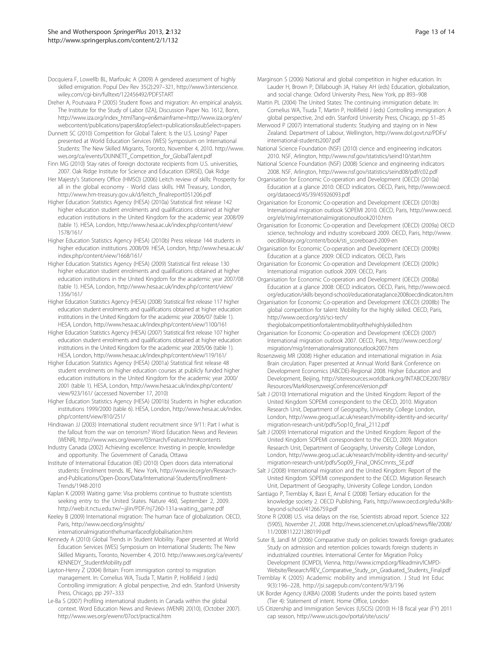- <span id="page-12-0"></span>Docquiera F, Lowellb BL, Marfoukc A (2009) A gendered assessment of highly skilled emigration. Popul Dev Rev 35(2):297–321, [http://www3.interscience.](http://www3.interscience.wiley.com/cgi-bin/fulltext/122456492/PDFSTART) [wiley.com/cgi-bin/fulltext/122456492/PDFSTART](http://www3.interscience.wiley.com/cgi-bin/fulltext/122456492/PDFSTART)
- Dreher A, Poutvaara P (2005) Student flows and migration: An empirical analysis. The Institute for the Study of Labor (IZA), Discussion Paper No. 1612, Bonn, [http://www.iza.org/index\\_html?lang=en&mainframe=http://www.iza.org/en/](http://www.iza.org/index_html?lang=en&mainframe=http://www.iza.org/en/webcontent/publications/papers&topSelect=publications&subSelect=papers) [webcontent/publications/papers&topSelect=publications&subSelect=papers](http://www.iza.org/index_html?lang=en&mainframe=http://www.iza.org/en/webcontent/publications/papers&topSelect=publications&subSelect=papers)
- Dunnett SC (2010) Competition for Global Talent: Is the U.S. Losing? Paper presented at World Education Services (WES) Symposium on International Students: The New Skilled Migrants, Toronto, November 4, 2010. [http://www.](http://www.wes.org/ca/events/DUNNETT_Competition_for_GlobalTalent.pdf) [wes.org/ca/events/DUNNETT\\_Competition\\_for\\_GlobalTalent.pdf](http://www.wes.org/ca/events/DUNNETT_Competition_for_GlobalTalent.pdf)
- Finn MG (2010) Stay rates of foreign doctorate recipients from U.S. universities, 2007. Oak Ridge Institute for Science and Education (ORISE), Oak Ridge
- Her Majesty's Stationery Office (HMSO) (2006) Leitch review of skills: Prosperity for all in the global economy - World class skills. HM Treasury, London, [http://www.hm-treasury.gov.uk/d/leitch\\_finalreport051206.pdf](http://www.hm-treasury.gov.uk/d/leitch_finalreport051206.pdf)
- Higher Education Statistics Agency (HESA) (2010a) Statistical first release 142 higher education student enrolments and qualifications obtained at higher education institutions in the United Kingdom for the academic year 2008/09 (table 1). HESA, London, [http://www.hesa.ac.uk/index.php/content/view/](http://www.hesa.ac.uk/index.php/content/view/1578/161/) [1578/161/](http://www.hesa.ac.uk/index.php/content/view/1578/161/)
- Higher Education Statistics Agency (HESA) (2010b) Press release 144 students in higher education institutions 2008/09. HESA, London, [http://www.hesa.ac.uk/](http://www.hesa.ac.uk/index.php/content/view/1668/161/) [index.php/content/view/1668/161/](http://www.hesa.ac.uk/index.php/content/view/1668/161/)
- Higher Education Statistics Agency (HESA) (2009) Statistical first release 130 higher education student enrolments and qualifications obtained at higher education institutions in the United Kingdom for the academic year 2007/08 (table 1). HESA, London, [http://www.hesa.ac.uk/index.php/content/view/](http://www.hesa.ac.uk/index.php/content/view/1356/161/) [1356/161/](http://www.hesa.ac.uk/index.php/content/view/1356/161/)
- Higher Education Statistics Agency (HESA) (2008) Statistical first release 117 higher education student enrolments and qualifications obtained at higher education institutions in the United Kingdom for the academic year 2006/07 (table 1). HESA, London,<http://www.hesa.ac.uk/index.php/content/view/1100/161>
- Higher Education Statistics Agency (HESA) (2007) Statistical first release 107 higher education student enrolments and qualifications obtained at higher education institutions in the United Kingdom for the academic year 2005/06 (table 1). HESA, London,<http://www.hesa.ac.uk/index.php/content/view/119/161/>
- Higher Education Statistics Agency (HESA) (2001a) Statistical first release 48 student enrolments on higher education courses at publicly funded higher education institutions in the United Kingdom for the academic year 2000/ 2001 (table 1). HESA, London, [http://www.hesa.ac.uk/index.php/content/](http://www.hesa.ac.uk/index.php/content/view/923/161/) [view/923/161/](http://www.hesa.ac.uk/index.php/content/view/923/161/) (accessed November 17, 2010)
- Higher Education Statistics Agency (HESA) (2001b) Students in higher education institutions 1999/2000 (table 6). HESA, London, [http://www.hesa.ac.uk/index.](http://www.hesa.ac.uk/index.php/content/view/810/251/) [php/content/view/810/251/](http://www.hesa.ac.uk/index.php/content/view/810/251/)
- Hindrawan JJ (2003) International student recruitment since 9/11: Part I what is the fallout from the war on terrorism? Word Education News and Reviews (WENR),<http://www.wes.org/ewenr/03march/Feature.htm#contents>
- Industry Canada (2002) Achieving excellence: Investing in people, knowledge and opportunity. The Government of Canada, Ottawa
- Institute of International Education (IIE) (2010) Open doors data international students: Enrolment trends. IIE, New York, [http://www.iie.org/en/Research](http://www.iie.org/en/Research-and-Publications/Open-Doors/Data/International-Students/Enrollment-Trends/1948-2010)[and-Publications/Open-Doors/Data/International-Students/Enrollment-](http://www.iie.org/en/Research-and-Publications/Open-Doors/Data/International-Students/Enrollment-Trends/1948-2010)[Trends/1948-2010](http://www.iie.org/en/Research-and-Publications/Open-Doors/Data/International-Students/Enrollment-Trends/1948-2010)
- Kaplan K (2009) Waiting game: Visa problems continue to frustrate scientists seeking entry to the United States. Nature 460, September 2, 2009. [http://web.it.nctu.edu.tw/~jjlin/PDF/nj7260-131a-waiting\\_game.pdf](http://web.it.nctu.edu.tw/~jjlin/PDF/nj7260-131a-waiting_game.pdf)
- Keeley B (2009) International migration: The human face of globalization. OECD, Paris, [http://www.oecd.org/insights/](http://www.oecd.org/insights/internationalmigrationthehumanfaceofglobalisation.htm)
- [internationalmigrationthehumanfaceofglobalisation.htm](http://www.oecd.org/insights/internationalmigrationthehumanfaceofglobalisation.htm) Kennedy A (2010) Global Trends in Student Mobility. Paper presented at World Education Services (WES) Symposium on International Students: The New Skilled Migrants, Toronto, November 4, 2010. [http://www.wes.org/ca/events/](http://www.wes.org/ca/events/KENNEDY_StudentMobility.pdf) [KENNEDY\\_StudentMobility.pdf](http://www.wes.org/ca/events/KENNEDY_StudentMobility.pdf)
- Layton-Henry Z (2004) Britain: From immigration control to migration management. In: Cornelius WA, Tsuda T, Martin P, Hollifield J (eds) Controlling immigration: A global perspective, 2nd edn. Stanford University Press, Chicago, pp 297–333
- Le-Ba S (2007) Profiling international students in Canada within the global context. Word Education News and Reviews (WENR) 20(10), (October 2007). <http://www.wes.org/ewenr/07oct/practical.htm>
- Marginson S (2006) National and global competition in higher education. In: Lauder H, Brown P, Dillabough JA, Halsey AH (eds) Education, globalization, and social change. Oxford University Press, New York, pp 893–908
- Martin PL (2004) The United States: The continuing immigration debate. In: Cornelius WA, Tsuda T, Martin P, Hollifield J (eds) Controlling immigration: A global perspective, 2nd edn. Stanford University Press, Chicago, pp 51–85
- Merwood P (2007) International students: Studying and staying on in New Zealand. Department of Labour, Wellington, [http://www.dol.govt.nz/PDFs/](http://www.dol.govt.nz/PDFs/international-students2007.pdf) [international-students2007.pdf](http://www.dol.govt.nz/PDFs/international-students2007.pdf)
- National Science Foundation (NSF) (2010) cience and engineering indicators 2010. NSF, Arlington,<http://www.nsf.gov/statistics/seind10/start.htm>
- National Science Foundation (NSF) (2008) Science and engineering indicators 2008. NSF, Arlington,<http://www.nsf.gov/statistics/seind08/pdf/c02.pdf>
- Organisation for Economic Co-operation and Development (OECD) (2010a) Education at a glance 2010: OECD indicators. OECD, Paris, [http://www.oecd.](http://www.oecd.org/dataoecd/45/39/45926093.pdf) [org/dataoecd/45/39/45926093.pdf](http://www.oecd.org/dataoecd/45/39/45926093.pdf)
- Organisation for Economic Co-operation and Development (OECD) (2010b) International migration outlook SOPEMI 2010. OECD, Paris, [http://www.oecd.](http://www.oecd.org/els/mig/internationalmigrationoutlook2010.htm) [org/els/mig/internationalmigrationoutlook2010.htm](http://www.oecd.org/els/mig/internationalmigrationoutlook2010.htm)
- Organisation for Economic Co-operation and Development (OECD) (2009a) OECD science, technology and industry scoreboard 2009. OECD, Paris, [http://www.](http://www.oecdilibrary.org/content/book/sti_scoreboard-2009-en) [oecdilibrary.org/content/book/sti\\_scoreboard-2009-en](http://www.oecdilibrary.org/content/book/sti_scoreboard-2009-en)
- Organisation for Economic Co-operation and Development (OECD) (2009b) Education at a glance 2009: OECD indicators. OECD, Paris
- Organisation for Economic Co-operation and Development (OECD) (2009c) International migration outlook 2009. OECD, Paris
- Organisation for Economic Co-operation and Development (OECD) (2008a) Education at a glance 2008: OECD indicators. OECD, Paris, [http://www.oecd.](http://www.oecd.org/education/skills-beyond-school/educationataglance2008oecdindicators.htm) [org/education/skills-beyond-school/educationataglance2008oecdindicators.htm](http://www.oecd.org/education/skills-beyond-school/educationataglance2008oecdindicators.htm)
- Organisation for Economic Co-operation and Development (OECD) (2008b) The global competition for talent: Mobility for the highly skilled. OECD, Paris, [http://www.oecd.org/sti/sci-tech/](http://www.oecd.org/sti/sci-tech/theglobalcompetitionfortalentmobilityofthehighlyskilled.htm) [theglobalcompetitionfortalentmobilityofthehighlyskilled.htm](http://www.oecd.org/sti/sci-tech/theglobalcompetitionfortalentmobilityofthehighlyskilled.htm)
- Organisation for Economic Co-operation and Development (OECD) (2007) International migration outlook 2007. OECD, Paris, [http://www.oecd.org/](http://www.oecd.org/migration/mig/internationalmigrationoutlook2007.htm) [migration/mig/internationalmigrationoutlook2007.htm](http://www.oecd.org/migration/mig/internationalmigrationoutlook2007.htm)
- Rosenzweig MR (2008) Higher education and international migration in Asia: Brain circulation. Paper presented at Annual World Bank Conference on Development Economics (ABCDE)-Regional 2008. Higher Education and Development, Beijing, [http://siteresources.worldbank.org/INTABCDE2007BEI/](http://siteresources.worldbank.org/INTABCDE2007BEI/Resources/MarkRosenzweigConferenceVersion.pdf) [Resources/MarkRosenzweigConferenceVersion.pdf](http://siteresources.worldbank.org/INTABCDE2007BEI/Resources/MarkRosenzweigConferenceVersion.pdf)
- Salt J (2010) International migration and the United Kingdom: Report of the United Kingdom SOPEMI correspondent to the OECD, 2010. Migration Research Unit, Department of Geography, University College London, London, [http://www.geog.ucl.ac.uk/research/mobility-identity-and-security/](http://www.geog.ucl.ac.uk/research/mobility-identity-and-security/migration-research-unit/pdfs/Sop10_final_2112.pdf) [migration-research-unit/pdfs/Sop10\\_final\\_2112.pdf](http://www.geog.ucl.ac.uk/research/mobility-identity-and-security/migration-research-unit/pdfs/Sop10_final_2112.pdf)
- Salt J (2009) International migration and the United Kingdom: Report of the United Kingdom SOPEMI correspondent to the OECD, 2009. Migration Research Unit, Department of Geography, University College London, London, [http://www.geog.ucl.ac.uk/research/mobility-identity-and-security/](http://www.geog.ucl.ac.uk/research/mobility-identity-and-security/migration-research-unit/pdfs/Sop09_Final_ONSCmnts_SE.pdf) [migration-research-unit/pdfs/Sop09\\_Final\\_ONSCmnts\\_SE.pdf](http://www.geog.ucl.ac.uk/research/mobility-identity-and-security/migration-research-unit/pdfs/Sop09_Final_ONSCmnts_SE.pdf)
- Salt J (2008) International migration and the United Kingdom: Report of the United Kingdom SOPEMI correspondent to the OECD. Migration Research Unit, Department of Geography, University College London, London
- Santiago P, Tremblay K, Basri E, Arnal E (2008) Tertiary education for the knowledge society 2. OECD Publishing, Paris, [http://www.oecd.org/edu/skills](http://www.oecd.org/edu/skills-beyond-school/41266759.pdf)[beyond-school/41266759.pdf](http://www.oecd.org/edu/skills-beyond-school/41266759.pdf)
- Stone R (2008) U.S. visa delays on the rise, Scientists abroad report. Science 322 (5905), November 21, 2008. [http://news.sciencenet.cn/upload/news/file/2008/](http://news.sciencenet.cn/upload/news/file/2008/11/2008112221280199.pdf) [11/2008112221280199.pdf](http://news.sciencenet.cn/upload/news/file/2008/11/2008112221280199.pdf)
- Suter B, Jandl M (2006) Comparative study on policies towards foreign graduates: Study on admission and retention policies towards foreign students in industrialized countries. International Center for Migration Policy Development (ICMPD), Vienna, [http://www.icmpd.org/fileadmin/ICMPD-](http://www.icmpd.org/fileadmin/ICMPD-Website/Research/REV_Comparative_Study_on_Graduated_Students_Final.pdf)[Website/Research/REV\\_Comparative\\_Study\\_on\\_Graduated\\_Students\\_Final.pdf](http://www.icmpd.org/fileadmin/ICMPD-Website/Research/REV_Comparative_Study_on_Graduated_Students_Final.pdf)
- Tremblay K (2005) Academic mobility and immigration. J Stud Int Educ 9(3):196–228,<http://jsi.sagepub.com/content/9/3/196>
- UK Border Agency (UKBA) (2008) Students under the points based system (Tier 4): Statement of intent. Home Office, London
- US Citizenship and Immigration Services (USCIS) (2010) H-1B fiscal year (FY) 2011 cap season, [http://www.uscis.gov/portal/site/uscis/](http://www.uscis.gov/portal/site/uscis/menuitem.5af9bb95919f35e66f614176543f6d1a/?vgnextoid=4b7cdd1d5fd37210VgnVCM100000082ca60aRCRD&vgnextchannel=73566811264a3210VgnVCM100000b92ca60aRCRD)